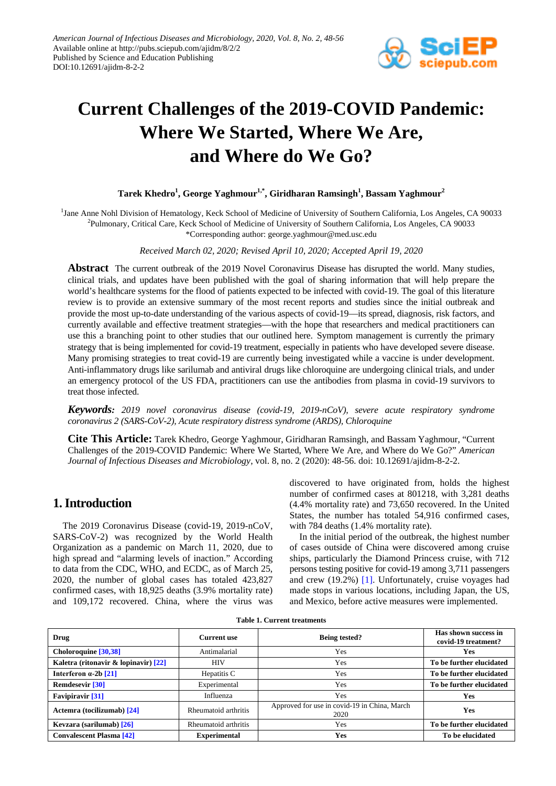

# **Current Challenges of the 2019-COVID Pandemic: Where We Started, Where We Are, and Where do We Go?**

#### $\mathrm{Tarek}\ \mathrm{Khedro}^1, \mathrm{George}\ \mathrm{Yaghmour}^{1,*}, \mathrm{Giridharan}\ \mathrm{Ramsingh}^1, \mathrm{Bassam}\ \mathrm{Yaghmour}^2$

<sup>1</sup>Jane Anne Nohl Division of Hematology, Keck School of Medicine of University of Southern California, Los Angeles, CA 90033 <sup>2</sup>Pulmonary, Critical Care, Keck School of Medicine of University of Southern California, Los Angeles, CA 90033

\*Corresponding author: george.yaghmour@med.usc.edu

*Received March 02, 2020; Revised April 10, 2020; Accepted April 19, 2020*

**Abstract** The current outbreak of the 2019 Novel Coronavirus Disease has disrupted the world. Many studies, clinical trials, and updates have been published with the goal of sharing information that will help prepare the world's healthcare systems for the flood of patients expected to be infected with covid-19. The goal of this literature review is to provide an extensive summary of the most recent reports and studies since the initial outbreak and provide the most up-to-date understanding of the various aspects of covid-19—its spread, diagnosis, risk factors, and currently available and effective treatment strategies—with the hope that researchers and medical practitioners can use this a branching point to other studies that our outlined here. Symptom management is currently the primary strategy that is being implemented for covid-19 treatment, especially in patients who have developed severe disease. Many promising strategies to treat covid-19 are currently being investigated while a vaccine is under development. Anti-inflammatory drugs like sarilumab and antiviral drugs like chloroquine are undergoing clinical trials, and under an emergency protocol of the US FDA, practitioners can use the antibodies from plasma in covid-19 survivors to treat those infected.

*Keywords: 2019 novel coronavirus disease (covid-19, 2019-nCoV), severe acute respiratory syndrome coronavirus 2 (SARS-CoV-2), Acute respiratory distress syndrome (ARDS), Chloroquine*

**Cite This Article:** Tarek Khedro, George Yaghmour, Giridharan Ramsingh, and Bassam Yaghmour, "Current Challenges of the 2019-COVID Pandemic: Where We Started, Where We Are, and Where do We Go?" *American Journal of Infectious Diseases and Microbiology*, vol. 8, no. 2 (2020): 48-56. doi: 10.12691/ajidm-8-2-2.

## **1. Introduction**

The 2019 Coronavirus Disease (covid-19, 2019-nCoV, SARS-CoV-2) was recognized by the World Health Organization as a pandemic on March 11, 2020, due to high spread and "alarming levels of inaction." According to data from the CDC, WHO, and ECDC, as of March 25, 2020, the number of global cases has totaled 423,827 confirmed cases, with 18,925 deaths (3.9% mortality rate) and 109,172 recovered. China, where the virus was discovered to have originated from, holds the highest number of confirmed cases at 801218, with 3,281 deaths (4.4% mortality rate) and 73,650 recovered. In the United States, the number has totaled 54,916 confirmed cases, with 784 deaths (1.4% mortality rate).

In the initial period of the outbreak, the highest number of cases outside of China were discovered among cruise ships, particularly the Diamond Princess cruise, with 712 persons testing positive for covid-19 among 3,711 passengers and crew (19.2%) [\[1\].](#page-7-0) Unfortunately, cruise voyages had made stops in various locations, including Japan, the US, and Mexico, before active measures were implemented.

| Drug                                 | <b>Current use</b>   | <b>Being tested?</b>                                 | Has shown success in<br>covid-19 treatment? |
|--------------------------------------|----------------------|------------------------------------------------------|---------------------------------------------|
| Choloroquine [30,38]                 | Antimalarial<br>Yes  |                                                      | Yes                                         |
| Kaletra (ritonavir & lopinavir) [22] | <b>HIV</b><br>Yes    |                                                      | To be further elucidated                    |
| Interferon $\alpha$ -2b [21]         | Hepatitis C          | Yes                                                  | To be further elucidated                    |
| <b>Remdesevir</b> [30]               | Experimental         | Yes                                                  | To be further elucidated                    |
| <b>Favipiravir</b> [31]              | Influenza            | Yes                                                  | Yes                                         |
| Actemra (tocilizumab) [24]           | Rheumatoid arthritis | Approved for use in covid-19 in China, March<br>2020 | Yes                                         |
| Kevzara (sarilumab) [26]             | Rheumatoid arthritis | Yes                                                  | To be further elucidated                    |
| <b>Convalescent Plasma [42]</b>      | <b>Experimental</b>  | Yes                                                  | To be elucidated                            |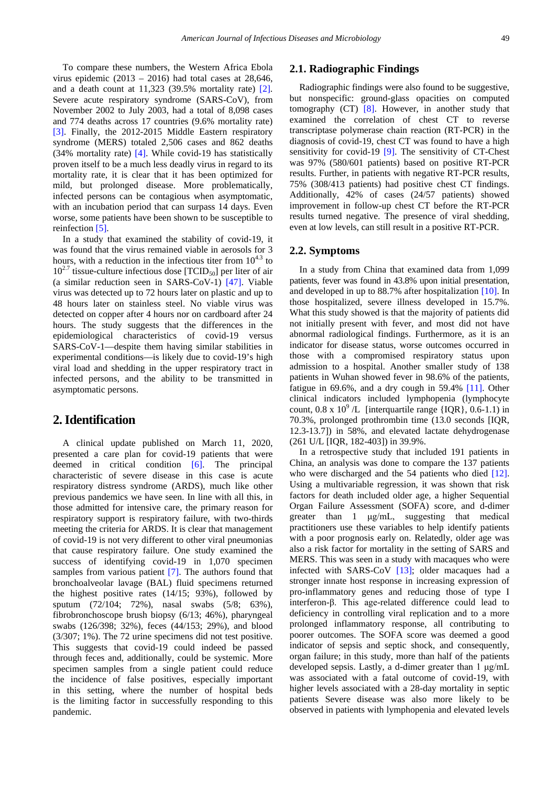To compare these numbers, the Western Africa Ebola virus epidemic  $(2013 - 2016)$  had total cases at 28,646, and a death count at 11,323 (39.5% mortality rate) [\[2\].](#page-7-1) Severe acute respiratory syndrome (SARS-CoV), from November 2002 to July 2003, had a total of 8,098 cases and 774 deaths across 17 countries (9.6% mortality rate) [\[3\].](#page-7-2) Finally, the 2012-2015 Middle Eastern respiratory syndrome (MERS) totaled 2,506 cases and 862 deaths (34% mortality rate) [\[4\].](#page-7-3) While covid-19 has statistically proven itself to be a much less deadly virus in regard to its mortality rate, it is clear that it has been optimized for mild, but prolonged disease. More problematically, infected persons can be contagious when asymptomatic, with an incubation period that can surpass 14 days. Even worse, some patients have been shown to be susceptible to reinfectio[n \[5\].](#page-7-4)

In a study that examined the stability of covid-19, it was found that the virus remained viable in aerosols for 3 hours, with a reduction in the infectious titer from  $10^{4.3}$  to  $10^{2.7}$  tissue-culture infectious dose [TCID<sub>50</sub>] per liter of air (a similar reduction seen in SARS-CoV-1) [\[47\].](#page-8-7) Viable virus was detected up to 72 hours later on plastic and up to 48 hours later on stainless steel. No viable virus was detected on copper after 4 hours nor on cardboard after 24 hours. The study suggests that the differences in the epidemiological characteristics of covid-19 versus SARS-CoV-1—despite them having similar stabilities in experimental conditions—is likely due to covid-19's high viral load and shedding in the upper respiratory tract in infected persons, and the ability to be transmitted in asymptomatic persons.

## **2. Identification**

A clinical update published on March 11, 2020, presented a care plan for covid-19 patients that were deemed in critical condition [\[6\].](#page-7-5) The principal characteristic of severe disease in this case is acute respiratory distress syndrome (ARDS), much like other previous pandemics we have seen. In line with all this, in those admitted for intensive care, the primary reason for respiratory support is respiratory failure, with two-thirds meeting the criteria for ARDS. It is clear that management of covid-19 is not very different to other viral pneumonias that cause respiratory failure. One study examined the success of identifying covid-19 in 1,070 specimen samples from various patient [\[7\].](#page-7-6) The authors found that bronchoalveolar lavage (BAL) fluid specimens returned the highest positive rates (14/15; 93%), followed by sputum (72/104; 72%), nasal swabs (5/8; 63%), fibrobronchoscope brush biopsy (6/13; 46%), pharyngeal swabs (126/398; 32%), feces (44/153; 29%), and blood (3/307; 1%). The 72 urine specimens did not test positive. This suggests that covid-19 could indeed be passed through feces and, additionally, could be systemic. More specimen samples from a single patient could reduce the incidence of false positives, especially important in this setting, where the number of hospital beds is the limiting factor in successfully responding to this pandemic.

#### **2.1. Radiographic Findings**

Radiographic findings were also found to be suggestive, but nonspecific: ground-glass opacities on computed tomography (CT) [\[8\].](#page-7-7) However, in another study that examined the correlation of chest CT to reverse transcriptase polymerase chain reaction (RT-PCR) in the diagnosis of covid-19, chest CT was found to have a high sensitivity for covid-19 [\[9\].](#page-7-8) The sensitivity of CT-Chest was 97% (580/601 patients) based on positive RT-PCR results. Further, in patients with negative RT-PCR results, 75% (308/413 patients) had positive chest CT findings. Additionally, 42% of cases (24/57 patients) showed improvement in follow-up chest CT before the RT-PCR results turned negative. The presence of viral shedding, even at low levels, can still result in a positive RT-PCR.

#### **2.2. Symptoms**

In a study from China that examined data from 1,099 patients, fever was found in 43.8% upon initial presentation, and developed in up to 88.7% after hospitalization [\[10\].](#page-8-8) In those hospitalized, severe illness developed in 15.7%. What this study showed is that the majority of patients did not initially present with fever, and most did not have abnormal radiological findings. Furthermore, as it is an indicator for disease status, worse outcomes occurred in those with a compromised respiratory status upon admission to a hospital. Another smaller study of 138 patients in Wuhan showed fever in 98.6% of the patients, fatigue in 69.6%, and a dry cough in 59.4% [\[11\].](#page-8-9) Other clinical indicators included lymphopenia (lymphocyte count,  $0.8 \times 10^9$  /L [interquartile range {IQR},  $0.6-1.1$ ) in 70.3%, prolonged prothrombin time (13.0 seconds [IQR, 12.3-13.7]) in 58%, and elevated lactate dehydrogenase (261 U/L [IQR, 182-403]) in 39.9%.

In a retrospective study that included 191 patients in China, an analysis was done to compare the 137 patients who were discharged and the 54 patients who died [\[12\].](#page-8-10) Using a multivariable regression, it was shown that risk factors for death included older age, a higher Sequential Organ Failure Assessment (SOFA) score, and d-dimer greater than 1 μg/mL, suggesting that medical practitioners use these variables to help identify patients with a poor prognosis early on. Relatedly, older age was also a risk factor for mortality in the setting of SARS and MERS. This was seen in a study with macaques who were infected with SARS-CoV [\[13\];](#page-8-11) older macaques had a stronger innate host response in increasing expression of pro-inflammatory genes and reducing those of type I interferon-β. This age-related difference could lead to deficiency in controlling viral replication and to a more prolonged inflammatory response, all contributing to poorer outcomes. The SOFA score was deemed a good indicator of sepsis and septic shock, and consequently, organ failure; in this study, more than half of the patients developed sepsis. Lastly, a d-dimer greater than 1 μg/mL was associated with a fatal outcome of covid-19, with higher levels associated with a 28-day mortality in septic patients Severe disease was also more likely to be observed in patients with lymphopenia and elevated levels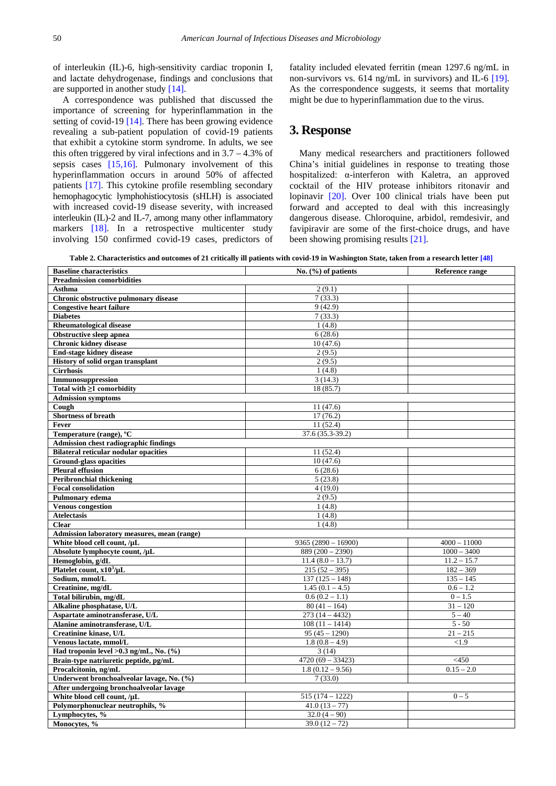of interleukin (IL)-6, high-sensitivity cardiac troponin I, and lactate dehydrogenase, findings and conclusions that are supported in another study [\[14\].](#page-8-12)

A correspondence was published that discussed the importance of screening for hyperinflammation in the setting of covid-19 [\[14\].](#page-8-12) There has been growing evidence revealing a sub-patient population of covid-19 patients that exhibit a cytokine storm syndrome. In adults, we see this often triggered by viral infections and in  $3.7 - 4.3\%$  of sepsis cases [\[15,16\].](#page-8-13) Pulmonary involvement of this hyperinflammation occurs in around 50% of affected patients [\[17\].](#page-8-14) This cytokine profile resembling secondary hemophagocytic lymphohistiocytosis (sHLH) is associated with increased covid-19 disease severity, with increased interleukin (IL)-2 and IL-7, among many other inflammatory markers [\[18\].](#page-8-15) In a retrospective multicenter study involving 150 confirmed covid-19 cases, predictors of fatality included elevated ferritin (mean 1297.6 ng/mL in non-survivors vs. 614 ng/mL in survivors) and IL-6 [\[19\].](#page-8-16) As the correspondence suggests, it seems that mortality might be due to hyperinflammation due to the virus.

## **3. Response**

Many medical researchers and practitioners followed China's initial guidelines in response to treating those hospitalized: α-interferon with Kaletra, an approved cocktail of the HIV protease inhibitors ritonavir and lopinavir [\[20\].](#page-8-17) Over 100 clinical trials have been put forward and accepted to deal with this increasingly dangerous disease. Chloroquine, arbidol, remdesivir, and favipiravir are some of the first-choice drugs, and have been showing promising result[s \[21\].](#page-8-2)

**Table 2. Characteristics and outcomes of 21 critically ill patients with covid-19 in Washington State, taken from a research lette[r \[48\]](#page-8-18)**

| <b>Baseline characteristics</b>              | No. $(\% )$ of patients | Reference range |  |  |  |
|----------------------------------------------|-------------------------|-----------------|--|--|--|
| <b>Preadmission comorbidities</b>            |                         |                 |  |  |  |
| Asthma                                       | 2(9.1)                  |                 |  |  |  |
| Chronic obstructive pulmonary disease        | 7(33.3)                 |                 |  |  |  |
| <b>Congestive heart failure</b>              | 9(42.9)                 |                 |  |  |  |
| <b>Diabetes</b>                              | 7(33.3)                 |                 |  |  |  |
| <b>Rheumatological disease</b>               | 1(4.8)                  |                 |  |  |  |
| <b>Obstructive sleep apnea</b>               | 6(28.6)                 |                 |  |  |  |
| <b>Chronic kidney disease</b>                | 10(47.6)                |                 |  |  |  |
| <b>End-stage kidney disease</b>              | 2(9.5)                  |                 |  |  |  |
| History of solid organ transplant            | 2(9.5)                  |                 |  |  |  |
| <b>Cirrhosis</b>                             | 1(4.8)                  |                 |  |  |  |
| Immunosuppression                            | 3(14.3)                 |                 |  |  |  |
| Total with $\geq 1$ comorbidity              | 18 (85.7)               |                 |  |  |  |
| <b>Admission symptoms</b>                    |                         |                 |  |  |  |
| Cough                                        | 11(47.6)                |                 |  |  |  |
| Shortness of breath                          | 17(76.2)                |                 |  |  |  |
| Fever                                        | 11(52.4)                |                 |  |  |  |
| Temperature (range), <sup>o</sup> C          | 37.6 (35.3-39.2)        |                 |  |  |  |
| <b>Admission chest radiographic findings</b> |                         |                 |  |  |  |
| <b>Bilateral reticular nodular opacities</b> | 11 (52.4)               |                 |  |  |  |
| <b>Ground-glass opacities</b>                | 10(47.6)                |                 |  |  |  |
| <b>Pleural effusion</b>                      | 6(28.6)                 |                 |  |  |  |
| <b>Peribronchial thickening</b>              | 5(23.8)                 |                 |  |  |  |
| <b>Focal consolidation</b>                   | 4(19.0)                 |                 |  |  |  |
| Pulmonary edema                              | 2(9.5)                  |                 |  |  |  |
| <b>Venous congestion</b>                     | 1(4.8)                  |                 |  |  |  |
| <b>Atelectasis</b>                           | 1(4.8)                  |                 |  |  |  |
| <b>Clear</b>                                 | 1(4.8)                  |                 |  |  |  |
| Admission laboratory measures, mean (range)  |                         |                 |  |  |  |
| White blood cell count, /µL                  | $9365(2890 - 16900)$    | $4000 - 11000$  |  |  |  |
| Absolute lymphocyte count, /µL               | $889(200-2390)$         | $1000 - 3400$   |  |  |  |
| Hemoglobin, g/dL                             | $11.4(8.0 - 13.7)$      | $11.2 - 15.7$   |  |  |  |
| Platelet count, $x10^3/\mu L$                | $215(52 - 395)$         | $182 - 369$     |  |  |  |
| Sodium, mmol/L                               | $137(125 - 148)$        | $135 - 145$     |  |  |  |
| Creatinine, mg/dL                            | $1.45(0.1 - 4.5)$       | $0.6 - 1.2$     |  |  |  |
| Total bilirubin, mg/dL                       | $0.6(0.2 - 1.1)$        | $0 - 1.5$       |  |  |  |
| Alkaline phosphatase, U/L                    | $80(41 - 164)$          | $31 - 120$      |  |  |  |
| Aspartate aminotransferase, U/L              | $273(14 - 4432)$        | $5 - 40$        |  |  |  |
| Alanine aminotransferase, U/L                | $108(11 - 1414)$        | $5 - 50$        |  |  |  |
| Creatinine kinase, U/L                       | $95(45 - 1290)$         | $21 - 215$      |  |  |  |
| Venous lactate, mmol/L                       | $1.8(0.8 - 4.9)$        | < 1.9           |  |  |  |
| Had troponin level >0.3 ng/mL, No. (%)       | 3(14)                   |                 |  |  |  |
| Brain-type natriuretic peptide, pg/mL        | $4720(69 - 33423)$      | $<$ 450         |  |  |  |
| Procalcitonin, ng/mL                         | $1.8(0.12 - 9.56)$      | $0.15 - 2.0$    |  |  |  |
| Underwent bronchoalveolar lavage, No. (%)    | 7(33.0)                 |                 |  |  |  |
| After undergoing bronchoalveolar lavage      |                         |                 |  |  |  |
| White blood cell count, /µL                  | $515(174 - 1222)$       | $0 - 5$         |  |  |  |
| Polymorphonuclear neutrophils, %             | $41.0(13 - 77)$         |                 |  |  |  |
| Lymphocytes, %                               | $32.0(4-90)$            |                 |  |  |  |
| Monocytes, %                                 | $39.0(12 - 72)$         |                 |  |  |  |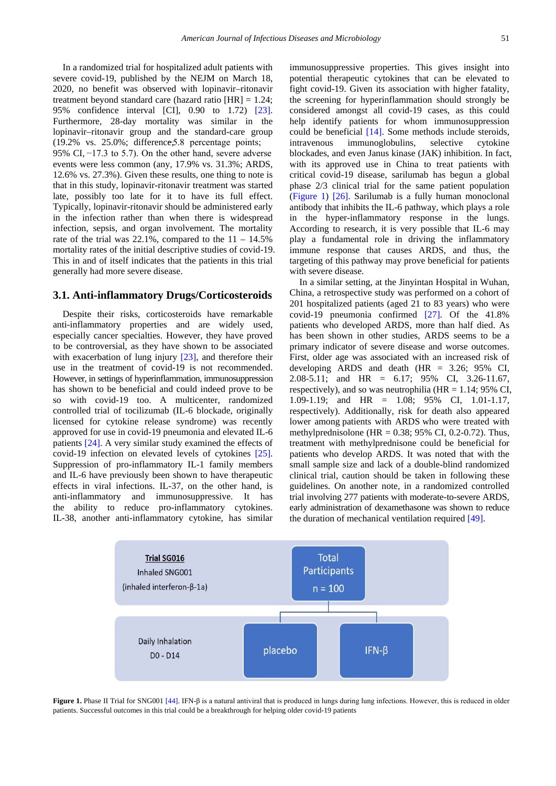In a randomized trial for hospitalized adult patients with severe covid-19, published by the NEJM on March 18, 2020, no benefit was observed with lopinavir–ritonavir treatment beyond standard care (hazard ratio  $[HR] = 1.24$ ; 95% confidence interval [CI], 0.90 to 1.72) [\[23\].](#page-8-19) Furthermore, 28-day mortality was similar in the lopinavir–ritonavir group and the standard-care group  $(19.2\% \text{ vs. } 25.0\%; \text{ difference,} 5.8 \text{ percentage points};$ 95% CI, −17.3 to 5.7). On the other hand, severe adverse events were less common (any, 17.9% vs. 31.3%; ARDS, 12.6% vs. 27.3%). Given these results, one thing to note is that in this study, lopinavir-ritonavir treatment was started late, possibly too late for it to have its full effect. Typically, lopinavir-ritonavir should be administered early in the infection rather than when there is widespread infection, sepsis, and organ involvement. The mortality rate of the trial was  $22.1\%$ , compared to the  $11 - 14.5\%$ mortality rates of the initial descriptive studies of covid-19. This in and of itself indicates that the patients in this trial generally had more severe disease.

#### **3.1. Anti-inflammatory Drugs/Corticosteroids**

Despite their risks, corticosteroids have remarkable anti-inflammatory properties and are widely used, especially cancer specialties. However, they have proved to be controversial, as they have shown to be associated with exacerbation of lung injury [\[23\],](#page-8-19) and therefore their use in the treatment of covid-19 is not recommended. However, in settings of hyperinflammation, immunosuppression has shown to be beneficial and could indeed prove to be so with covid-19 too. A multicenter, randomized controlled trial of tocilizumab (IL-6 blockade, originally licensed for cytokine release syndrome) was recently approved for use in covid-19 pneumonia and elevated IL-6 patients [\[24\].](#page-8-4) A very similar study examined the effects of covid-19 infection on elevated levels of cytokines [\[25\].](#page-8-20) Suppression of pro-inflammatory IL-1 family members and IL-6 have previously been shown to have therapeutic effects in viral infections. IL-37, on the other hand, is anti-inflammatory and immunosuppressive. It has the ability to reduce pro-inflammatory cytokines. IL-38, another anti-inflammatory cytokine, has similar

immunosuppressive properties. This gives insight into potential therapeutic cytokines that can be elevated to fight covid-19. Given its association with higher fatality, the screening for hyperinflammation should strongly be considered amongst all covid-19 cases, as this could help identify patients for whom immunosuppression could be beneficial [\[14\].](#page-8-12) Some methods include steroids, intravenous immunoglobulins, selective cytokine blockades, and even Janus kinase (JAK) inhibition. In fact, with its approved use in China to treat patients with critical covid-19 disease, sarilumab has begun a global phase 2/3 clinical trial for the same patient population [\(Figure 1\)](#page-3-0) [\[26\].](#page-8-5) Sarilumab is a fully human monoclonal antibody that inhibits the IL-6 pathway, which plays a role in the hyper-inflammatory response in the lungs. According to research, it is very possible that IL-6 may play a fundamental role in driving the inflammatory immune response that causes ARDS, and thus, the targeting of this pathway may prove beneficial for patients with severe disease.

In a similar setting, at the Jinyintan Hospital in Wuhan, China, a retrospective study was performed on a cohort of 201 hospitalized patients (aged 21 to 83 years) who were covid-19 pneumonia confirmed [\[27\].](#page-8-21) Of the 41.8% patients who developed ARDS, more than half died. As has been shown in other studies, ARDS seems to be a primary indicator of severe disease and worse outcomes. First, older age was associated with an increased risk of developing ARDS and death (HR = 3.26; 95% CI, 2.08-5.11; and HR = 6.17; 95% CI, 3.26-11.67, respectively), and so was neutrophilia ( $HR = 1.14$ ; 95% CI, 1.09-1.19; and HR = 1.08; 95% CI, 1.01-1.17, respectively). Additionally, risk for death also appeared lower among patients with ARDS who were treated with methylprednisolone (HR =  $0.38$ ; 95% CI, 0.2-0.72). Thus, treatment with methylprednisone could be beneficial for patients who develop ARDS. It was noted that with the small sample size and lack of a double-blind randomized clinical trial, caution should be taken in following these guidelines. On another note, in a randomized controlled trial involving 277 patients with moderate-to-severe ARDS, early administration of dexamethasone was shown to reduce the duration of mechanical ventilation require[d \[49\].](#page-8-22)

<span id="page-3-0"></span>

**Figure 1.** Phase II Trial for SNG00[1 \[44\].](#page-8-23) IFN-β is a natural antiviral that is produced in lungs during lung infections. However, this is reduced in older patients. Successful outcomes in this trial could be a breakthrough for helping older covid-19 patients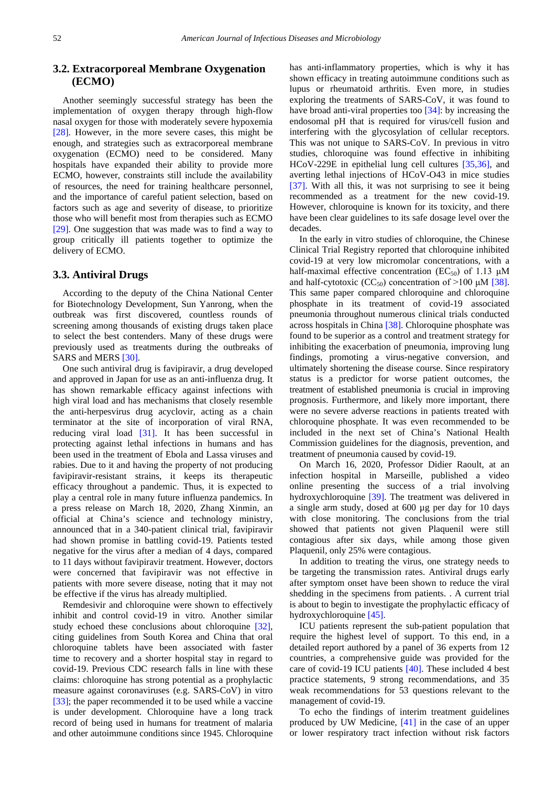## **3.2. Extracorporeal Membrane Oxygenation (ECMO)**

Another seemingly successful strategy has been the implementation of oxygen therapy through high-flow nasal oxygen for those with moderately severe hypoxemia [\[28\].](#page-8-24) However, in the more severe cases, this might be enough, and strategies such as extracorporeal membrane oxygenation (ECMO) need to be considered. Many hospitals have expanded their ability to provide more ECMO, however, constraints still include the availability of resources, the need for training healthcare personnel, and the importance of careful patient selection, based on factors such as age and severity of disease, to prioritize those who will benefit most from therapies such as ECMO [\[29\].](#page-8-25) One suggestion that was made was to find a way to group critically ill patients together to optimize the delivery of ECMO.

#### **3.3. Antiviral Drugs**

According to the deputy of the China National Center for Biotechnology Development, Sun Yanrong, when the outbreak was first discovered, countless rounds of screening among thousands of existing drugs taken place to select the best contenders. Many of these drugs were previously used as treatments during the outbreaks of SARS and MERS [\[30\].](#page-8-0)

One such antiviral drug is favipiravir, a drug developed and approved in Japan for use as an anti-influenza drug. It has shown remarkable efficacy against infections with high viral load and has mechanisms that closely resemble the anti-herpesvirus drug acyclovir, acting as a chain terminator at the site of incorporation of viral RNA, reducing viral load [\[31\].](#page-8-3) It has been successful in protecting against lethal infections in humans and has been used in the treatment of Ebola and Lassa viruses and rabies. Due to it and having the property of not producing favipiravir-resistant strains, it keeps its therapeutic efficacy throughout a pandemic. Thus, it is expected to play a central role in many future influenza pandemics. In a press release on March 18, 2020, Zhang Xinmin, an official at China's science and technology ministry, announced that in a 340-patient clinical trial, favipiravir had shown promise in battling covid-19. Patients tested negative for the virus after a median of 4 days, compared to 11 days without favipiravir treatment. However, doctors were concerned that favipiravir was not effective in patients with more severe disease, noting that it may not be effective if the virus has already multiplied.

Remdesivir and chloroquine were shown to effectively inhibit and control covid-19 in vitro. Another similar study echoed these conclusions about chloroquine [\[32\],](#page-8-26) citing guidelines from South Korea and China that oral chloroquine tablets have been associated with faster time to recovery and a shorter hospital stay in regard to covid-19. Previous CDC research falls in line with these claims: chloroquine has strong potential as a prophylactic measure against coronaviruses (e.g. SARS-CoV) in vitro [\[33\];](#page-8-27) the paper recommended it to be used while a vaccine is under development. Chloroquine have a long track record of being used in humans for treatment of malaria and other autoimmune conditions since 1945. Chloroquine

has anti-inflammatory properties, which is why it has shown efficacy in treating autoimmune conditions such as lupus or rheumatoid arthritis. Even more, in studies exploring the treatments of SARS-CoV, it was found to have broad anti-viral properties too [\[34\]:](#page-8-28) by increasing the endosomal pH that is required for virus/cell fusion and interfering with the glycosylation of cellular receptors. This was not unique to SARS-CoV. In previous in vitro studies, chloroquine was found effective in inhibiting HCoV-229E in epithelial lung cell cultures [\[35,36\],](#page-8-29) and averting lethal injections of HCoV-O43 in mice studies [\[37\].](#page-8-30) With all this, it was not surprising to see it being recommended as a treatment for the new covid-19. However, chloroquine is known for its toxicity, and there have been clear guidelines to its safe dosage level over the decades.

In the early in vitro studies of chloroquine, the Chinese Clinical Trial Registry reported that chloroquine inhibited covid-19 at very low micromolar concentrations, with a half-maximal effective concentration ( $EC_{50}$ ) of 1.13  $\mu$ M and half-cytotoxic (CC<sub>50</sub>) concentration of  $>100 \mu M$  [\[38\].](#page-8-31) This same paper compared chloroquine and chloroquine phosphate in its treatment of covid-19 associated pneumonia throughout numerous clinical trials conducted across hospitals in Chin[a \[38\].](#page-8-31) Chloroquine phosphate was found to be superior as a control and treatment strategy for inhibiting the exacerbation of pneumonia, improving lung findings, promoting a virus-negative conversion, and ultimately shortening the disease course. Since respiratory status is a predictor for worse patient outcomes, the treatment of established pneumonia is crucial in improving prognosis. Furthermore, and likely more important, there were no severe adverse reactions in patients treated with chloroquine phosphate. It was even recommended to be included in the next set of China's National Health Commission guidelines for the diagnosis, prevention, and treatment of pneumonia caused by covid-19.

On March 16, 2020, Professor Didier Raoult, at an infection hospital in Marseille, published a video online presenting the success of a trial involving hydroxychloroquine [\[39\].](#page-8-32) The treatment was delivered in a single arm study, dosed at 600 µg per day for 10 days with close monitoring. The conclusions from the trial showed that patients not given Plaquenil were still contagious after six days, while among those given Plaquenil, only 25% were contagious.

In addition to treating the virus, one strategy needs to be targeting the transmission rates. Antiviral drugs early after symptom onset have been shown to reduce the viral shedding in the specimens from patients. . A current trial is about to begin to investigate the prophylactic efficacy of hydroxychloroquine [\[45\].](#page-8-33)

ICU patients represent the sub-patient population that require the highest level of support. To this end, in a detailed report authored by a panel of 36 experts from 12 countries, a comprehensive guide was provided for the care of covid-19 ICU patients [\[40\].](#page-8-34) These included 4 best practice statements, 9 strong recommendations, and 35 weak recommendations for 53 questions relevant to the management of covid-19.

To echo the findings of interim treatment guidelines produced by UW Medicine, [\[41\]](#page-8-35) in the case of an upper or lower respiratory tract infection without risk factors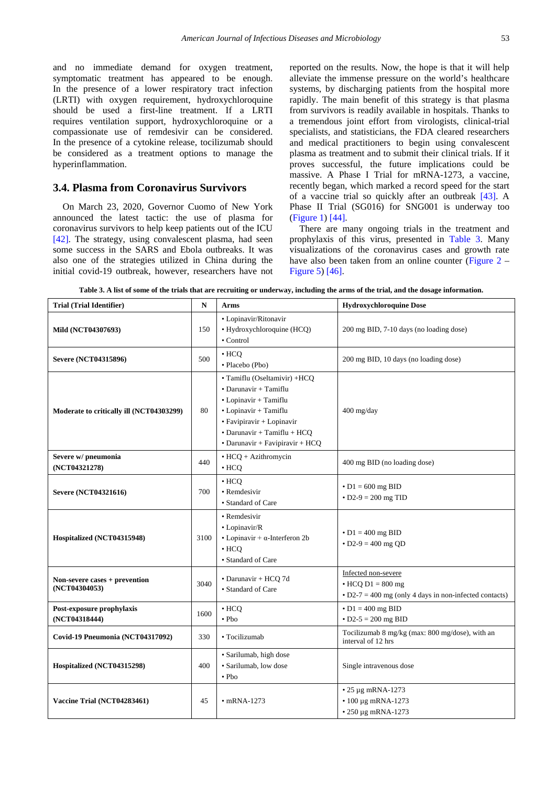and no immediate demand for oxygen treatment, symptomatic treatment has appeared to be enough. In the presence of a lower respiratory tract infection (LRTI) with oxygen requirement, hydroxychloroquine should be used a first-line treatment. If a LRTI requires ventilation support, hydroxychloroquine or a compassionate use of remdesivir can be considered. In the presence of a cytokine release, tocilizumab should be considered as a treatment options to manage the hyperinflammation.

#### **3.4. Plasma from Coronavirus Survivors**

On March 23, 2020, Governor Cuomo of New York announced the latest tactic: the use of plasma for coronavirus survivors to help keep patients out of the ICU [\[42\].](#page-8-6) The strategy, using convalescent plasma, had seen some success in the SARS and Ebola outbreaks. It was also one of the strategies utilized in China during the initial covid-19 outbreak, however, researchers have not reported on the results. Now, the hope is that it will help alleviate the immense pressure on the world's healthcare systems, by discharging patients from the hospital more rapidly. The main benefit of this strategy is that plasma from survivors is readily available in hospitals. Thanks to a tremendous joint effort from virologists, clinical-trial specialists, and statisticians, the FDA cleared researchers and medical practitioners to begin using convalescent plasma as treatment and to submit their clinical trials. If it proves successful, the future implications could be massive. A Phase I Trial for mRNA-1273, a vaccine, recently began, which marked a record speed for the start of a vaccine trial so quickly after an outbreak [\[43\].](#page-8-36) A Phase II Trial (SG016) for SNG001 is underway too [\(Figure 1\)](#page-3-0) [\[44\].](#page-8-23)

There are many ongoing trials in the treatment and prophylaxis of this virus, presented in [Table 3.](#page-5-0) Many visualizations of the coronavirus cases and growth rate have also been taken from an online counter [\(Figure 2](#page-6-0) – [Figure 5\)](#page-7-9) [\[46\].](#page-8-37)

**Table 3. A list of some of the trials that are recruiting or underway, including the arms of the trial, and the dosage information.**

<span id="page-5-0"></span>

| <b>Trial (Trial Identifier)</b>                | N    | <b>Arms</b>                                                                                                                                                                                                    | <b>Hydroxychloroquine Dose</b>                                                                                   |
|------------------------------------------------|------|----------------------------------------------------------------------------------------------------------------------------------------------------------------------------------------------------------------|------------------------------------------------------------------------------------------------------------------|
| Mild (NCT04307693)                             | 150  | · Lopinavir/Ritonavir<br>· Hydroxychloroquine (HCQ)<br>• Control                                                                                                                                               | 200 mg BID, 7-10 days (no loading dose)                                                                          |
| Severe (NCT04315896)                           | 500  | $\cdot$ HCO<br>· Placebo (Pbo)                                                                                                                                                                                 | 200 mg BID, 10 days (no loading dose)                                                                            |
| Moderate to critically ill (NCT04303299)       | 80   | • Tamiflu (Oseltamivir) +HCQ<br>• Darunavir + Tamiflu<br>$\bullet$ Lopinavir + Tamiflu<br>• Lopinavir + Tamiflu<br>• Favipiravir + Lopinavir<br>• Darunavir + Tamiflu + HCQ<br>• Darunavir + Favipiravir + HCQ | 400 mg/day                                                                                                       |
| Severe w/ pneumonia<br>(NCT04321278)           | 440  | • HCQ + Azithromycin<br>$\cdot$ HCQ                                                                                                                                                                            | 400 mg BID (no loading dose)                                                                                     |
| Severe (NCT04321616)                           | 700  | $\cdot$ HCO<br>• Remdesivir<br>• Standard of Care                                                                                                                                                              | $\cdot$ D1 = 600 mg BID<br>• $D2-9 = 200$ mg TID                                                                 |
| Hospitalized (NCT04315948)                     | 3100 | • Remdesivir<br>• Lopinavir/R<br>• Lopinavir + $\alpha$ -Interferon 2b<br>$\cdot$ HCO<br>• Standard of Care                                                                                                    | $\cdot$ D1 = 400 mg BID<br>$\cdot$ D2-9 = 400 mg OD                                                              |
| Non-severe cases + prevention<br>(NCT04304053) | 3040 | · Darunavir + HCQ 7d<br>• Standard of Care                                                                                                                                                                     | Infected non-severe<br>$\bullet$ HCO D1 = 800 mg<br>$\cdot$ D2-7 = 400 mg (only 4 days in non-infected contacts) |
| Post-exposure prophylaxis<br>(NCT04318444)     | 1600 | $\cdot$ HCQ<br>$\bullet$ Pbo                                                                                                                                                                                   | $\bullet$ D1 = 400 mg BID<br>$\cdot$ D2-5 = 200 mg BID                                                           |
| Covid-19 Pneumonia (NCT04317092)               | 330  | • Tocilizumab                                                                                                                                                                                                  | Tocilizumab 8 mg/kg (max: 800 mg/dose), with an<br>interval of 12 hrs                                            |
| Hospitalized (NCT04315298)                     | 400  | · Sarilumab, high dose<br>· Sarilumab, low dose<br>$\cdot$ Pbo                                                                                                                                                 | Single intravenous dose                                                                                          |
| Vaccine Trial (NCT04283461)                    | 45   | $\cdot$ mRNA-1273                                                                                                                                                                                              | $\cdot$ 25 µg mRNA-1273<br>$\cdot$ 100 µg mRNA-1273<br>$\cdot$ 250 µg mRNA-1273                                  |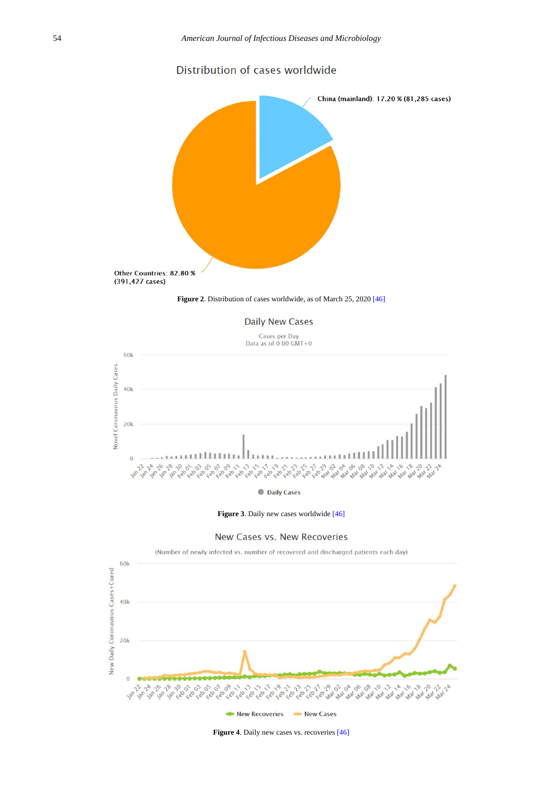# Distribution of cases worldwide

<span id="page-6-0"></span>





Cases per Day Data as of  $0:00$  GMT+0



**Figure 3**. Daily new cases worldwid[e \[46\]](#page-8-37)



(Number of newly infected vs. number of recovered and discharged patients each day) 60k New Daily Coronavirus Cases+Cured  $40k$  $20k$  $\mathbf 0$ 14 14 14 18 29 01 03 05 01 09 ما د به استخدام استخدام به استخدام به استخدام به استخدام به استخدام به استخدام به استخدام به استخدام به استخدام<br>استخدام به استخدام به استخدام به استخدام به استخدام به استخدام به استخدام به استخدام به استخدام به استخدام به  $35$  $100$  $\hat{v}$  $\hat{\nu}$ Jan Jan **Feb** Feb Feb **Feb** Feb feb feb New Recoveries New Cases

**Figure 4**. Daily new cases vs. recoveries [\[46\]](#page-8-37)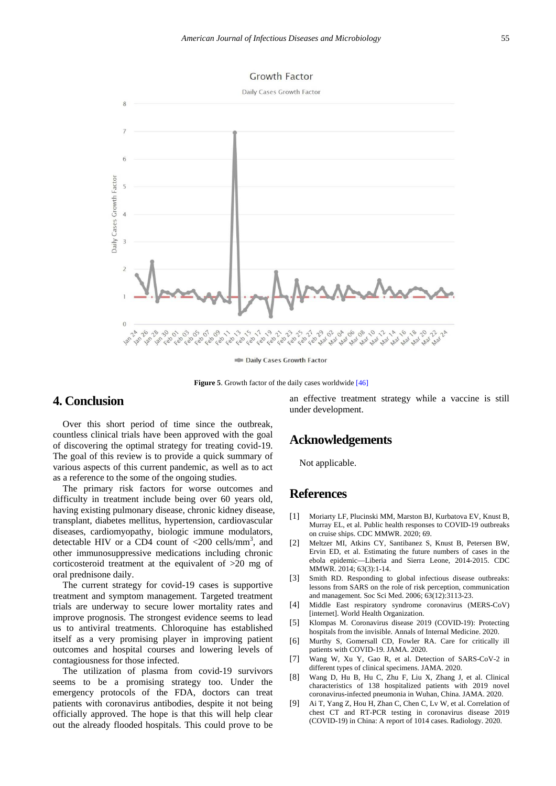<span id="page-7-9"></span>

**Figure 5**. Growth factor of the daily cases worldwid[e \[46\]](#page-8-37)

# **4. Conclusion**

Over this short period of time since the outbreak, countless clinical trials have been approved with the goal of discovering the optimal strategy for treating covid-19. The goal of this review is to provide a quick summary of various aspects of this current pandemic, as well as to act as a reference to the some of the ongoing studies.

The primary risk factors for worse outcomes and difficulty in treatment include being over 60 years old, having existing pulmonary disease, chronic kidney disease, transplant, diabetes mellitus, hypertension, cardiovascular diseases, cardiomyopathy, biologic immune modulators, detectable HIV or a CD4 count of  $\langle 200 \text{ cells/mm}^3$ , and other immunosuppressive medications including chronic corticosteroid treatment at the equivalent of >20 mg of oral prednisone daily.

The current strategy for covid-19 cases is supportive treatment and symptom management. Targeted treatment trials are underway to secure lower mortality rates and improve prognosis. The strongest evidence seems to lead us to antiviral treatments. Chloroquine has established itself as a very promising player in improving patient outcomes and hospital courses and lowering levels of contagiousness for those infected.

The utilization of plasma from covid-19 survivors seems to be a promising strategy too. Under the emergency protocols of the FDA, doctors can treat patients with coronavirus antibodies, despite it not being officially approved. The hope is that this will help clear out the already flooded hospitals. This could prove to be an effective treatment strategy while a vaccine is still under development.

### **Acknowledgements**

Not applicable.

# **References**

- <span id="page-7-0"></span>[1] Moriarty LF, Plucinski MM, Marston BJ, Kurbatova EV, Knust B, Murray EL, et al. Public health responses to COVID-19 outbreaks on cruise ships. CDC MMWR. 2020; 69.
- <span id="page-7-1"></span>[2] Meltzer MI, Atkins CY, Santibanez S, Knust B, Petersen BW, Ervin ED, et al. Estimating the future numbers of cases in the ebola epidemic—Liberia and Sierra Leone, 2014-2015. CDC MMWR. 2014; 63(3):1-14.
- <span id="page-7-2"></span>[3] Smith RD. Responding to global infectious disease outbreaks: lessons from SARS on the role of risk perception, communication and management. Soc Sci Med. 2006; 63(12):3113-23.
- <span id="page-7-3"></span>[4] Middle East respiratory syndrome coronavirus (MERS-CoV) [internet]. World Health Organization.
- <span id="page-7-4"></span>[5] Klompas M. Coronavirus disease 2019 (COVID-19): Protecting hospitals from the invisible. Annals of Internal Medicine. 2020.
- <span id="page-7-5"></span>[6] Murthy S, Gomersall CD, Fowler RA. Care for critically ill patients with COVID-19. JAMA. 2020.
- <span id="page-7-6"></span>[7] Wang W, Xu Y, Gao R, et al. Detection of SARS-CoV-2 in different types of clinical specimens. JAMA. 2020.
- <span id="page-7-7"></span>[8] Wang D, Hu B, Hu C, Zhu F, Liu X, Zhang J, et al. Clinical characteristics of 138 hospitalized patients with 2019 novel coronavirus-infected pneumonia in Wuhan, China. JAMA. 2020.
- <span id="page-7-8"></span>[9] Ai T, Yang Z, Hou H, Zhan C, Chen C, Lv W, et al. Correlation of chest CT and RT-PCR testing in coronavirus disease 2019 (COVID-19) in China: A report of 1014 cases. Radiology. 2020.